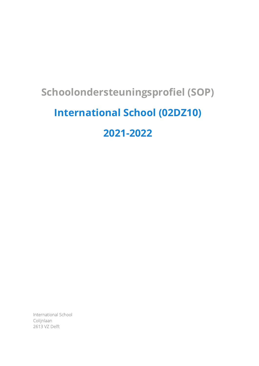# **Schoolondersteuningsprofiel (SOP)**

# **International School (02DZ10)**

**2021-2022**

International School Colijnlaan 2613 VZ Delft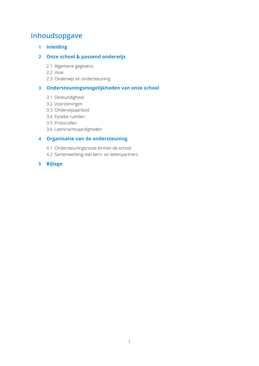# **Inhoudsopgave**

**1 Inleiding**

# **2 Onze school & passend onderwijs**

- 2.1 Algemene gegevens
- 2.2 Visie
- 2.3 Onderwijs en ondersteuning

## **3 Ondersteuningsmogelijkheden van onze school**

- 3.1 Deskundigheid
- 3.2 Voorzieningen
- 3.3 Onderwijsaanbod
- 3.4 Fysieke ruimten
- 3.5 Protocollen
- 3.6 Leerkrachtvaardigheden

# **4 Organisatie van de ondersteuning**

- 4.1 Ondersteuningsroute binnen de school
- 4.2 Samenwerking met kern- en ketenpartners
- **5 Bijlage**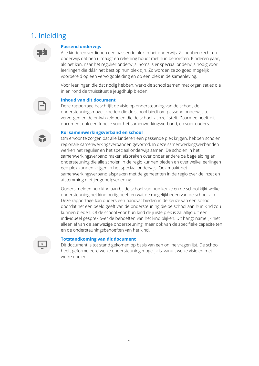# 1. Inleiding



#### **Passend onderwijs**

Alle kinderen verdienen een passende plek in het onderwijs. Zij hebben recht op onderwijs dat hen uitdaagt en rekening houdt met hun behoeften. Kinderen gaan, als het kan, naar het regulier onderwijs. Soms is er speciaal onderwijs nodig voor leerlingen die dáár het best op hun plek zijn. Zo worden ze zo goed mogelijk voorbereid op een vervolgopleiding en op een plek in de samenleving.

Voor leerlingen die dat nodig hebben, werkt de school samen met organisaties die in en rond de thuissituatie jeugdhulp bieden.



#### **Inhoud van dit document**

Deze rapportage beschrijft de visie op ondersteuning van de school, de ondersteuningsmogelijkheden die de school biedt om passend onderwijs te verzorgen en de ontwikkeldoelen die de school zichzelf stelt. Daarmee heeft dit document ook een functie voor het samenwerkingsverband, en voor ouders.

#### **Rol samenwerkingsverband en school**

Om ervoor te zorgen dat alle kinderen een passende plek krijgen, hebben scholen regionale samenwerkingsverbanden gevormd. In deze samenwerkingsverbanden werken het regulier en het speciaal onderwijs samen. De scholen in het samenwerkingsverband maken afspraken over onder andere de begeleiding en ondersteuning die alle scholen in de regio kunnen bieden en over welke leerlingen een plek kunnen krijgen in het speciaal onderwijs. Ook maakt het samenwerkingsverband afspraken met de gemeenten in de regio over de inzet en afstemming met jeugdhulpverlening.

Ouders melden hun kind aan bij de school van hun keuze en de school kijkt welke ondersteuning het kind nodig heeft en wat de mogelijkheden van de school zijn. Deze rapportage kan ouders een handvat bieden in de keuze van een school doordat het een beeld geeft van de ondersteuning die de school aan hun kind zou kunnen bieden. Of de school voor hun kind de juiste plek is zal altijd uit een individueel gesprek over de behoeften van het kind blijken. Dit hangt namelijk niet alleen af van de aanwezige ondersteuning, maar ook van de specifieke capaciteiten en de ondersteuningsbehoeften van het kind.

#### **Totstandkoming van dit document**

Dit document is tot stand gekomen op basis van een online vragenlijst. De school heeft geformuleerd welke ondersteuning mogelijk is, vanuit welke visie en met welke doelen.

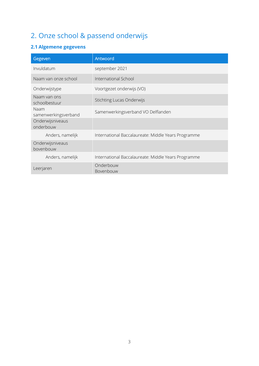# 2. Onze school & passend onderwijs

# **2.1 Algemene gegevens**

| Gegeven                       | Antwoord                                            |
|-------------------------------|-----------------------------------------------------|
| Invuldatum                    | september 2021                                      |
| Naam van onze school          | International School                                |
| Onderwijstype                 | Voortgezet onderwijs (VO)                           |
| Naam van ons<br>schoolbestuur | <b>Stichting Lucas Onderwijs</b>                    |
| Naam<br>samenwerkingsverband  | Samenwerkingsverband VO Delflanden                  |
| Onderwijsniveaus<br>onderbouw |                                                     |
| Anders, namelijk              | International Baccalaureate: Middle Years Programme |
| Onderwijsniveaus<br>bovenbouw |                                                     |
| Anders, namelijk              | International Baccalaureate: Middle Years Programme |
| Leerjaren                     | Onderbouw<br>Bovenbouw                              |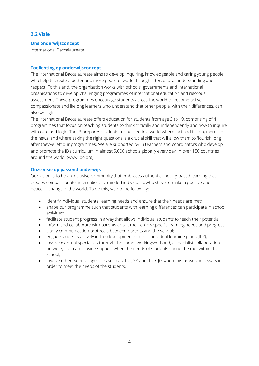## **2.2 Visie**

#### **Ons onderwijsconcept**

International Baccalaureate

#### **Toelichting op onderwijsconcept**

The International Baccalaureate aims to develop inquiring, knowledgeable and caring young people who help to create a better and more peaceful world through intercultural understanding and respect. To this end, the organisation works with schools, governments and international organisations to develop challenging programmes of international education and rigorous assessment. These programmes encourage students across the world to become active, compassionate and lifelong learners who understand that other people, with their differences, can also be right.

The International Baccalaureate offers education for students from age 3 to 19, comprising of 4 programmes that focus on teaching students to think critically and independently and how to inquire with care and logic. The IB prepares students to succeed in a world where fact and fiction, merge in the news, and where asking the right questions is a crucial skill that will allow them to flourish long after they've left our programmes. We are supported by IB teachers and coordinators who develop and promote the IB's curriculum in almost 5,000 schools globally every day, in over 150 countries around the world. (www.ibo.org).

#### **Onze visie op passend onderwijs**

Our vision is to be an inclusive community that embraces authentic, inquiry-based learning that creates compassionate, internationally-minded individuals, who strive to make a positive and peaceful change in the world. To do this, we do the following:

- identify individual students' learning needs and ensure that their needs are met;
- shape our programme such that students with learning differences can participate in school activities;
- facilitate student progress in a way that allows individual students to reach their potential;
- inform and collaborate with parents about their child's specific learning needs and progress;
- clarify communication protocols between parents and the school;
- engage students actively in the development of their individual learning plans (ILP):
- involve external specialists through the Samenwerkingsverband, a specialist collaboration network, that can provide support when the needs of students cannot be met within the school;
- involve other external agencies such as the JGZ and the CJG when this proves necessary in order to meet the needs of the students.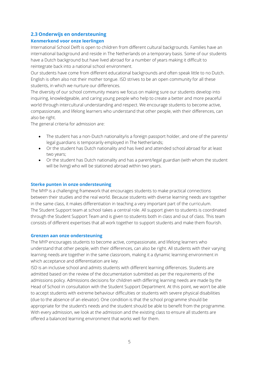# **2.3 Onderwijs en ondersteuning**

## **Kenmerkend voor onze leerlingen**

International School Delft is open to children from different cultural backgrounds. Families have an international background and reside in The Netherlands on a temporary basis. Some of our students have a Dutch background but have lived abroad for a number of years making it difficult to reintegrate back into a national school environment.

Our students have come from different educational backgrounds and often speak little to no Dutch. English is often also not their mother tongue. ISD strives to be an open community for all these students, in which we nurture our differences.

The diversity of our school community means we focus on making sure our students develop into inquiring, knowledgeable, and caring young people who help to create a better and more peaceful world through intercultural understanding and respect. We encourage students to become active, compassionate, and lifelong learners who understand that other people, with their differences, can also be right.

The general criteria for admission are:

- The student has a non-Dutch nationality/is a foreign passport holder, and one of the parents/ legal guardians is temporarily employed in The Netherlands;
- Or the student has Dutch nationality and has lived and attended school abroad for at least two years;
- Or the student has Dutch nationality and has a parent/legal guardian (with whom the student will be living) who will be stationed abroad within two years.

## **Sterke punten in onze ondersteuning**

The MYP is a challenging framework that encourages students to make practical connections between their studies and the real world. Because students with diverse learning needs are together in the same class, it makes differentiation in teaching a very important part of the curriculum. The Student Support team at school takes a central role. All support given to students is coordinated through the Student Support Team and is given to students both in class and out of class. This team consists of different expertises that all work together to support students and make them flourish.

## **Grenzen aan onze ondersteuning**

The MYP encourages students to become active, compassionate, and lifelong learners who understand that other people, with their differences, can also be right. All students with their varying learning needs are together in the same classroom, making it a dynamic learning environment in which acceptance and differentiation are key.

ISD is an inclusive school and admits students with different learning differences. Students are admitted based on the review of the documentation submitted as per the requirements of the admissions policy. Admissions decisions for children with differing learning needs are made by the Head of School in consultation with the Student Support Department. At this point, we won't be able to accept students with extreme behaviour difficulties or students with severe physical disabilities (due to the absence of an elevator). One condition is that the school programme should be appropriate for the student's needs and the student should be able to benefit from the programme. With every admission, we look at the admission and the existing class to ensure all students are offered a balanced learning environment that works well for them.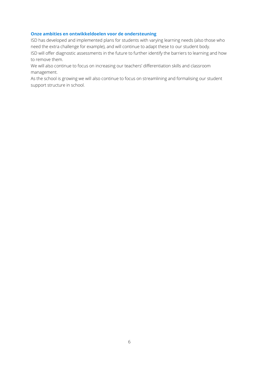## **Onze ambities en ontwikkeldoelen voor de ondersteuning**

ISD has developed and implemented plans for students with varying learning needs (also those who need the extra challenge for example), and will continue to adapt these to our student body. ISD will offer diagnostic assessments in the future to further identify the barriers to learning and how to remove them.

We will also continue to focus on increasing our teachers' differentiation skills and classroom management.

As the school is growing we will also continue to focus on streamlining and formalising our student support structure in school.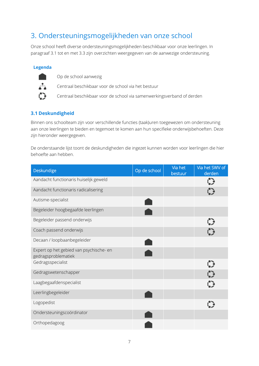# 3. Ondersteuningsmogelijkheden van onze school

Onze school heeft diverse ondersteuningsmogelijkheden beschikbaar voor onze leerlingen. In paragraaf 3.1 tot en met 3.3 zijn overzichten weergegeven van de aanwezige ondersteuning.

## **Legenda**



Op de school aanwezig

Centraal beschikbaar voor de school via het bestuur

Centraal beschikbaar voor de school via samenwerkingsverband of derden

# **3.1 Deskundigheid**

Binnen ons schoolteam zijn voor verschillende functies (taak)uren toegewezen om ondersteuning aan onze leerlingen te bieden en tegemoet te komen aan hun specifieke onderwijsbehoeften. Deze zijn hieronder weergegeven.

De onderstaande lijst toont de deskundigheden die ingezet kunnen worden voor leerlingen die hier behoefte aan hebben.

| <b>Deskundige</b>                                              | Op de school | Via het<br>bestuur | Via het SWV of<br>derden |
|----------------------------------------------------------------|--------------|--------------------|--------------------------|
| Aandacht functionaris huiselijk geweld                         |              |                    | $\odot$                  |
| Aandacht functionaris radicalisering                           |              |                    | $\mathcal{C}$            |
| Autisme-specialist                                             |              |                    |                          |
| Begeleider hoogbegaafde leerlingen                             |              |                    |                          |
| Begeleider passend onderwijs                                   |              |                    | ွ                        |
| Coach passend onderwijs                                        |              |                    |                          |
| Decaan / loopbaanbegeleider                                    |              |                    |                          |
| Expert op het gebied van psychische- en<br>gedragsproblematiek |              |                    |                          |
| Gedragsspecialist                                              |              |                    | င့                       |
| Gedragswetenschapper                                           |              |                    | $\odot$                  |
| Laagbegaafdenspecialist                                        |              |                    | $\bullet$                |
| Leerlingbegeleider                                             |              |                    |                          |
| Logopedist                                                     |              |                    |                          |
| Ondersteuningscoördinator                                      |              |                    |                          |
| Orthopedagoog                                                  |              |                    |                          |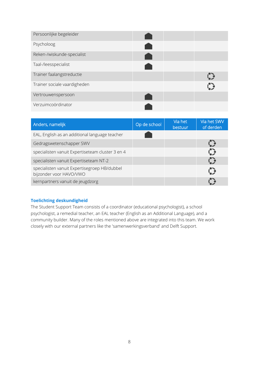| Persoonlijke begeleider      |  |  |
|------------------------------|--|--|
| Psycholoog                   |  |  |
| Reken-/wiskunde-specialist   |  |  |
| Taal-/leesspecialist         |  |  |
| Trainer faalangstreductie    |  |  |
| Trainer sociale vaardigheden |  |  |
| Vertrouwenspersoon           |  |  |
| Verzuimcoördinator           |  |  |

| Anders, namelijk                                                        | Op de school | Via het<br>bestuur | Via het SWV<br>of derden |
|-------------------------------------------------------------------------|--------------|--------------------|--------------------------|
| EAL, English as an additional language teacher                          |              |                    |                          |
| Gedragswetenschapper SWV                                                |              |                    |                          |
| specialisten vanuit Expertiseteam cluster 3 en 4                        |              |                    |                          |
| specialisten vanuit Expertiseteam NT-2                                  |              |                    |                          |
| specialisten vanuit Expertisegroep HB/dubbel<br>bijzonder voor HAVO/VWO |              |                    |                          |
| kernpartners vanuit de jeugdzorg                                        |              |                    |                          |

## **Toelichting deskundigheid**

The Student Support Team consists of a coordinator (educational psychologist), a school psychologist, a remedial teacher, an EAL teacher (English as an Additional Language), and a community builder. Many of the roles mentioned above are integrated into this team. We work closely with our external partners like the 'samenwerkingsverband' and Delft Support.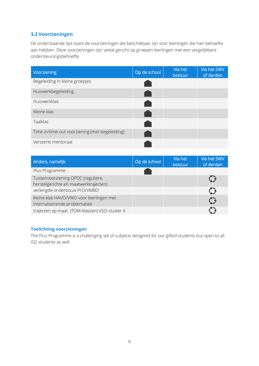# **3.2 Voorzieningen**

De onderstaande lijst toont de voorzieningen die beschikbaar zijn voor leerlingen die hier behoefte aan hebben. Deze voorzieningen zijn veelal gericht op groepen leerlingen met een vergelijkbare ondersteuningsbehoefte.

| Voorziening                                    | Op de school | Via het<br>bestuur | Via het SWV<br>of derden |
|------------------------------------------------|--------------|--------------------|--------------------------|
| Begeleiding in kleine groepjes                 |              |                    |                          |
| Huiswerkbegeleiding                            |              |                    |                          |
| Huiswerkklas                                   |              |                    |                          |
| Kleine klas                                    |              |                    |                          |
| Taalklas                                       |              |                    |                          |
| Time-in/time-out voorziening (met begeleiding) |              |                    |                          |
| Versterkt mentoraat                            |              |                    |                          |

| Anders, namelijk                                                            | Op de school | Via het<br>bestuur | Via het SWV<br>of derden |
|-----------------------------------------------------------------------------|--------------|--------------------|--------------------------|
| Plus Programme                                                              |              |                    |                          |
| Tussenvoorziening OPDC (reguliere,<br>herstelgerichte en maatwerktrajecten) |              |                    |                          |
| verlengde onderbouw PrO/VMBO                                                |              |                    |                          |
| kleine klas HAVO/VWO voor leerlingen met<br>internaliserende problematiek   |              |                    |                          |
| trajecten op maat (TOM-klassen) VSO-cluster 4                               |              |                    |                          |

# **Toelichting voorzieningen**

The Plus Programme is a challenging set of subjects designed for our gifted students but open to all ISD students as well.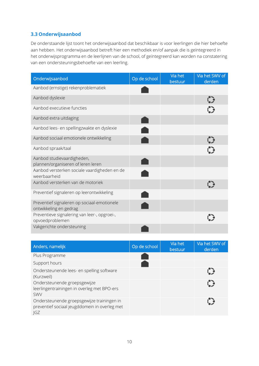# **3.3 Onderwijsaanbod**

De onderstaande lijst toont het onderwijsaanbod dat beschikbaar is voor leerlingen die hier behoefte aan hebben. Het onderwijsaanbod betreft hier een methodiek en/of aanpak die is geïntegreerd in het onderwijsprogramma en de leerlijnen van de school, of geïntegreerd kan worden na constatering van een ondersteuningsbehoefte van een leerling.

| Onderwijsaanbod                                                       | Op de school | Via het<br>bestuur | Via het SWV of<br>derden |
|-----------------------------------------------------------------------|--------------|--------------------|--------------------------|
| Aanbod (ernstige) rekenproblematiek                                   |              |                    |                          |
| Aanbod dyslexie                                                       |              |                    |                          |
| Aanbod executieve functies                                            |              |                    |                          |
| Aanbod extra uitdaging                                                |              |                    |                          |
| Aanbod lees- en spellingzwakte en dyslexie                            |              |                    |                          |
| Aanbod sociaal emotionele ontwikkeling                                |              |                    |                          |
| Aanbod spraak/taal                                                    |              |                    |                          |
| Aanbod studievaardigheden,<br>plannen/organiseren of leren leren      |              |                    |                          |
| Aanbod versterken sociale vaardigheden en de<br>weerbaarheid          |              |                    |                          |
| Aanbod versterken van de motoriek                                     |              |                    |                          |
| Preventief signaleren op leerontwikkeling                             |              |                    |                          |
| Preventief signaleren op sociaal-emotionele<br>ontwikkeling en gedrag |              |                    |                          |
| Preventieve signalering van leer-, opgroei-,<br>opvoedproblemen       |              |                    |                          |
| Vakgerichte ondersteuning                                             |              |                    |                          |

| Anders, namelijk                                                                                          | Op de school | Via het<br>bestuur | Via het SWV of<br>derden |
|-----------------------------------------------------------------------------------------------------------|--------------|--------------------|--------------------------|
| Plus Programme                                                                                            |              |                    |                          |
| Support hours                                                                                             |              |                    |                          |
| Ondersteunende lees- en spelling software<br>(Kurzweil)                                                   |              |                    |                          |
| Ondersteunende groepsgewijze<br>leerlingentrainingen in overleg met BPO-ers<br><b>SWV</b>                 |              |                    | C                        |
| Ondersteunende groepsgewijze trainingen in<br>preventief sociaal jeugddomein in overleg met<br><b>IGZ</b> |              |                    |                          |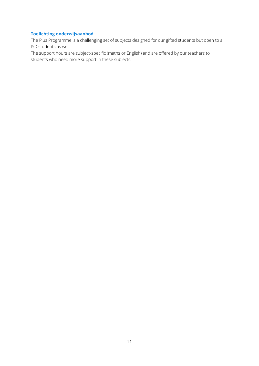# **Toelichting onderwijsaanbod**

The Plus Programme is a challenging set of subjects designed for our gifted students but open to all ISD students as well.

The support hours are subject-specific (maths or English) and are offered by our teachers to students who need more support in these subjects.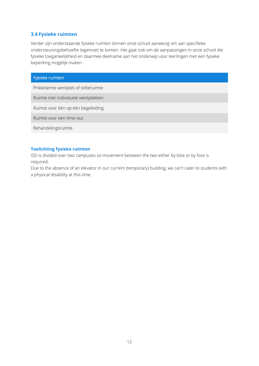## **3.4 Fysieke ruimten**

Verder zijn onderstaande fysieke ruimten binnen onze school aanwezig om aan specifieke ondersteuningsbehoefte tegemoet te komen. Het gaat ook om de aanpassingen in onze school die fysieke toegankelijkheid en daarmee deelname aan het onderwijs voor leerlingen met een fysieke beperking mogelijk maken.

| Fysieke ruimten                      |
|--------------------------------------|
| Prikkelarme werkplek of stilteruimte |
| Ruimte met individuele werkplekken   |
| Ruimte voor één op één begeleiding   |
| Ruimte voor een time-out             |
| Behandelingsruimte                   |

## **Toelichting fysieke ruimten**

ISD is divided over two campuses so movement between the two either by bike or by foot is required.

Due to the absence of an elevator in our current (temporary) building, we can't cater to students with a physical disability at this time.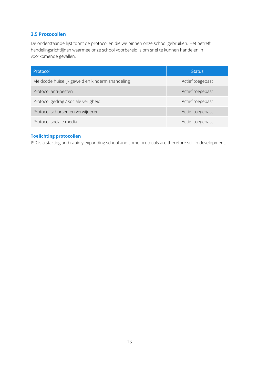# **3.5 Protocollen**

De onderstaande lijst toont de protocollen die we binnen onze school gebruiken. Het betreft handelingsrichtlijnen waarmee onze school voorbereid is om snel te kunnen handelen in voorkomende gevallen.

| Protocol                                        | <b>Status</b>    |
|-------------------------------------------------|------------------|
| Meldcode huiselijk geweld en kindermishandeling | Actief toegepast |
| Protocol anti-pesten                            | Actief toegepast |
| Protocol gedrag / sociale veiligheid            | Actief toegepast |
| Protocol schorsen en verwijderen                | Actief toegepast |
| Protocol sociale media                          | Actief toegepast |

# **Toelichting protocollen**

ISD is a starting and rapidly expanding school and some protocols are therefore still in development.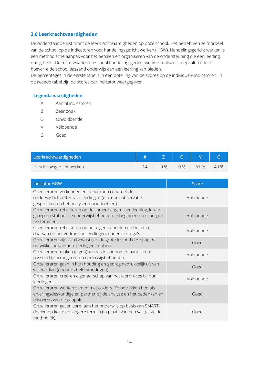# **3.6 Leerkrachtvaardigheden**

De onderstaande lijst toont de leerkrachtvaardigheden op onze school. Het betreft een zelfoordeel van de school op de indicatoren voor handelingsgericht werken (HGW). Handelingsgericht werken is een methodische aanpak voor het bepalen en organiseren van de ondersteuning die een leerling nodig heeft. De mate waarin een school handelingsgericht werken realiseert, bepaalt mede in hoeverre de school passend onderwijs aan een leerling kan bieden.

De percentages in de eerste tabel zijn een optelling van de scores op de individuele indicatoren. In de tweede tabel zijn de scores per indicator weergegeven.

## **Legenda vaardigheden**

- # Aantal indicatoren
- Z Zeer zwak
- O Onvoldoende
- V Voldoende
- G Goed

| Leerkrachtvaardigheden   |     |     |     |      |
|--------------------------|-----|-----|-----|------|
| Handelingsgericht werken | ገ % | በ % | 57% | 43 % |

| <b>Indicator HGW</b>                                                                                                                                       | <b>Score</b> |
|------------------------------------------------------------------------------------------------------------------------------------------------------------|--------------|
| Onze leraren verkennen en benoemen concreet de<br>onderwijsbehoeften van leerlingen (o.a. door observatie,<br>gesprekken en het analyseren van toetsen).   | Voldoende    |
| Onze leraren reflecteren op de samenhang tussen leerling, leraar,<br>groep en stof om de onderwijsbehoeften te begrijpen en daarop af<br>te stemmen.       | Voldoende    |
| Onze leraren reflecteren op het eigen handelen en het effect<br>daarvan op het gedrag van leerlingen, ouders, collega's.                                   | Voldoende    |
| Onze leraren zijn zich bewust van de grote invloed die zij op de<br>ontwikkeling van hun leerlingen hebben.                                                | Goed         |
| Onze leraren maken (eigen) keuzes in aanbod en aanpak om<br>passend te arrangeren op onderwijsbehoeften.                                                   | Voldoende    |
| Onze leraren gaan in hun houding en gedrag nadrukkelijk uit van<br>wat wel kan (ondanks belemmeringen).                                                    | Goed         |
| Onze leraren creëren eigenaarschap van het leerproces bij hun<br>leerlingen.                                                                               | Voldoende    |
| Onze leraren werken samen met ouders. Ze betrekken hen als<br>ervaringsdeskundige en partner bij de analyse en het bedenken en<br>uitvoeren van de aanpak. | Goed         |
| Onze leraren geven vorm aan het onderwijs op basis van SMART-<br>doelen op korte en langere termijn (in plaats van een vastgestelde<br>methodiek).         | Goed         |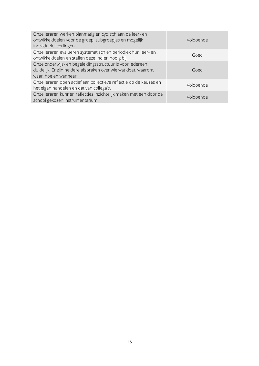| Onze leraren werken planmatig en cyclisch aan de leer- en<br>ontwikkeldoelen voor de groep, subgroepjes en mogelijk<br>individuele leerlingen.        | Voldoende |
|-------------------------------------------------------------------------------------------------------------------------------------------------------|-----------|
| Onze leraren evalueren systematisch en periodiek hun leer- en<br>ontwikkeldoelen en stellen deze indien nodig bij.                                    | Goed      |
| Onze onderwijs- en begeleidingsstructuur is voor iedereen<br>duidelijk. Er zijn heldere afspraken over wie wat doet, waarom,<br>waar, hoe en wanneer. | Goed      |
| Onze leraren doen actief aan collectieve reflectie op de keuzes en<br>het eigen handelen en dat van collega's.                                        | Voldoende |
| Onze leraren kunnen reflecties inzichtelijk maken met een door de<br>school gekozen instrumentarium.                                                  | Voldoende |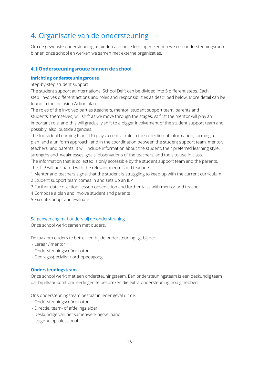# 4. Organisatie van de ondersteuning

Om de gewenste ondersteuning te bieden aan onze leerlingen kennen we een ondersteuningsroute binnen onze school en werken we samen met externe organisaties.

# **4.1 Ondersteuningsroute binnen de school**

## **Inrichting ondersteuningsroute**

Step-by-step student support

The student support at International School Delft can be divided into 5 different steps. Each step involves different actions and roles and responsibilities as described below. More detail can be found in the Inclusion Action plan.

The roles of the involved parties (teachers, mentor, student support team, parents and students themselves) will shift as we move through the stages. At first the mentor will play an important role, and this will gradually shift to a bigger involvement of the student support team and, possibly, also outside agencies.

The Individual Learning Plan (ILP) plays a central role in the collection of information, forming a plan and a uniform approach, and in the coordination between the student support team, mentor, teachers and parents. It will include information about the student, their preferred learning style, strengths and weaknesses, goals, observations of the teachers, and tools to use in class.

The information that is collected is only accessible by the student support team and the parents. The ILP will be shared with the relevant mentor and teachers.

- 1 Mentor and teachers signal that the student is struggling to keep up with the current curriculum 2 Student support team comes in and sets up an ILP
- 3 Further data collection: lesson observation and further talks with mentor and teacher
- 4 Compose a plan and involve student and parents
- 5 Execute, adapt and evaluate

## Samenwerking met ouders bij de ondersteuning

Onze school werkt samen met ouders.

De taak om ouders te betrekken bij de ondersteuning ligt bij de:

- Leraar / mentor
- Ondersteuningscoördinator
- Gedragsspecialist / orthopedagoog

#### **Ondersteuningsteam**

Onze school werkt met een ondersteuningsteam. Een ondersteuningsteam is een deskundig team dat bij elkaar komt om leerlingen te bespreken die extra ondersteuning nodig hebben.

Ons ondersteuningsteam bestaat in ieder geval uit de:

- Ondersteuningscoördinator
- Directie, team- of afdelingsleider
- Deskundige van het samenwerkingsverband
- Jeugdhulpprofessional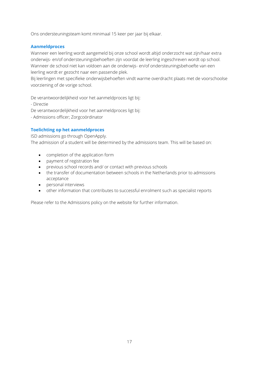Ons ondersteuningsteam komt minimaal 15 keer per jaar bij elkaar.

#### **Aanmeldproces**

Wanneer een leerling wordt aangemeld bij onze school wordt altijd onderzocht wat zijn/haar extra onderwijs- en/of ondersteuningsbehoeften zijn voordat de leerling ingeschreven wordt op school. Wanneer de school niet kan voldoen aan de onderwijs- en/of ondersteuningsbehoefte van een leerling wordt er gezocht naar een passende plek.

Bij leerlingen met specifieke onderwijsbehoeften vindt warme overdracht plaats met de voorschoolse voorziening of de vorige school.

De verantwoordelijkheid voor het aanmeldproces ligt bij:

- Directie

De verantwoordelijkheid voor het aanmeldproces ligt bij:

- Admissions officer; Zorgcoördinator

## **Toelichting op het aanmeldproces**

ISD admissions go through OpenApply. The admission of a student will be determined by the admissions team. This will be based on:

- completion of the application form
- payment of registration fee
- previous school records and/ or contact with previous schools
- the transfer of documentation between schools in the Netherlands prior to admissions acceptance
- personal interviews
- other information that contributes to successful enrolment such as specialist reports

Please refer to the Admissions policy on the website for further information.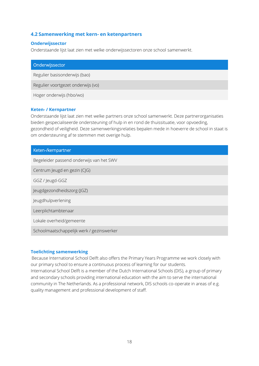# **4.2 Samenwerking met kern- en ketenpartners**

#### **Onderwijssector**

Onderstaande lijst laat zien met welke onderwijssectoren onze school samenwerkt.

| Onderwijssector                    |  |
|------------------------------------|--|
| Regulier basisonderwijs (bao)      |  |
| Regulier voortgezet onderwijs (vo) |  |
| Hoger onderwijs (hbo/wo)           |  |

#### **Keten- / Kernpartner**

Onderstaande lijst laat zien met welke partners onze school samenwerkt. Deze partnerorganisaties bieden gespecialiseerde ondersteuning of hulp in en rond de thuissituatie, voor opvoeding, gezondheid of veiligheid. Deze samenwerkingsrelaties bepalen mede in hoeverre de school in staat is om ondersteuning af te stemmen met overige hulp.

| Keten-/kernpartner                        |
|-------------------------------------------|
| Begeleider passend onderwijs van het SWV  |
| Centrum Jeugd en gezin (CJG)              |
| GGZ / Jeugd-GGZ                           |
| Jeugdgezondheidszorg (JGZ)                |
| Jeugdhulpverlening                        |
| Leerplichtambtenaar                       |
| Lokale overheid/gemeente                  |
| Schoolmaatschappelijk werk / gezinswerker |

#### **Toelichting samenwerking**

Because International School Delft also offers the Primary Years Programme we work closely with our primary school to ensure a continuous process of learning for our students. International School Delft is a member of the Dutch International Schools (DIS), a group of primary and secondary schools providing international education with the aim to serve the international community in The Netherlands. As a professional network, DIS schools co-operate in areas of e.g. quality management and professional development of staff.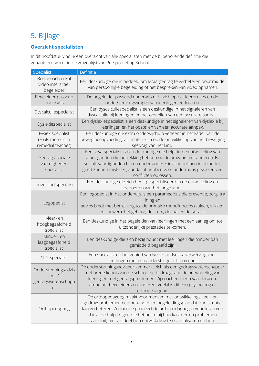# 5. Bijlage

# **Overzicht specialisten**

In dit hoofdstuk vind je een overzicht van alle specialisten met de bijbehorende definitie die gehanteerd wordt in de vragenlijst van Perspectief op School.

| Specialist                                                 | Definitie                                                                                                                                                                                                                                                                                                                                              |
|------------------------------------------------------------|--------------------------------------------------------------------------------------------------------------------------------------------------------------------------------------------------------------------------------------------------------------------------------------------------------------------------------------------------------|
| Beeldcoach en/of<br>video-interactie-<br>begeleider        | Een deskundige die is bedoeld om leraargedrag te verbeteren door middel<br>van persoonlijke begeleiding of het bespreken van video opnamen.                                                                                                                                                                                                            |
| Begeleider passend<br>onderwijs                            | De begeleider passend onderwijs richt zich op het leerproces en de<br>ondersteuningsvragen van leerlingen en leraren.                                                                                                                                                                                                                                  |
| Dyscalculiespecialist                                      | Een dyscalculiespecialist is een deskundige in het signaleren van<br>dyscalculie bij leerlingen en het opstellen van een accurate aanpak.                                                                                                                                                                                                              |
| Dyslexiespecialist                                         | Een dyslexiespecialist is een deskundige in het signaleren van dyslexie bij<br>leerlingen en het opstellen van een accurate aanpak.                                                                                                                                                                                                                    |
| Fysiek specialist<br>(zoals motorisch<br>remedial teacher) | Een deskundige die extra onderwijshulp verleent in het kader van de<br>bewegingsopvoeding. Zij richten zich op de ontwikkeling van het beweging<br>sgedrag van het kind.                                                                                                                                                                               |
| Gedrag / sociale<br>vaardigheden<br>specialist             | Een sova-specialist is een deskundige die helpt in de ontwikkeling van<br>vaardigheden die betrekking hebben op de omgang met anderen. Bij<br>sociale vaardigheden horen onder andere: inzicht hebben in de ander,<br>goed kunnen luisteren, aandacht hebben voor andermans gevoelens en<br>conflicten oplossen.                                       |
| Jonge kind specialist                                      | Een deskundige die zich heeft gespecialiseerd in de ontwikkeling en<br>behoeften van het jonge kind.                                                                                                                                                                                                                                                   |
| Logopedist                                                 | Een logopedist in het onderwijs is een paramedicus die preventie, zorg, tra<br>ining en<br>advies biedt met betrekking tot de primaire mondfuncties (zuigen, slikken<br>en kauwen), het gehoor, de stem, de taal en de spraak.                                                                                                                         |
| Meer-en<br>hoogbegaafdheid<br>specialist                   | Een deskundige in het begeleiden van leerlingen met een aanleg om tot<br>uitzonderlijke prestaties te komen.                                                                                                                                                                                                                                           |
| Minder- en<br>laagbegaafdheid<br>specialist                | Een deskundige die zich bezig houdt met leerlingen die minder dan<br>gemiddeld begaafd zijn.                                                                                                                                                                                                                                                           |
| NT2-specialist                                             | Een specialist op het gebied van Nederlandse taalverwerving voor<br>leerlingen met een anderstalige achtergrond.                                                                                                                                                                                                                                       |
| Ondersteuningsadvis<br>eur/<br>gedragswetenschapp<br>er    | De ondersteuningsadviseur kenmerkt zich als een gedragswetenschapper<br>met brede kennis van de school, die bijdraagt aan de ontwikkeling van<br>leerlingen met gedragsproblemen. Zij coachen hierin vaak leraren,<br>ambulant begeleiders en anderen. Veelal is dit een psycholoog of<br>orthopedagoog.                                               |
| Orthopedagoog                                              | De orthopedagoog maakt voor mensen met ontwikkelings, leer- en<br>gedragsproblemen een behandel- en begeleidingsplan dat hun situatie<br>kan verbeteren. Zodoende probeert de orthopedagoog ervoor te zorgen<br>dat zij de hulp krijgen die het beste bij hun karakter en problemen<br>aansluit, met als doel hun ontwikkeling te optimaliseren en hun |